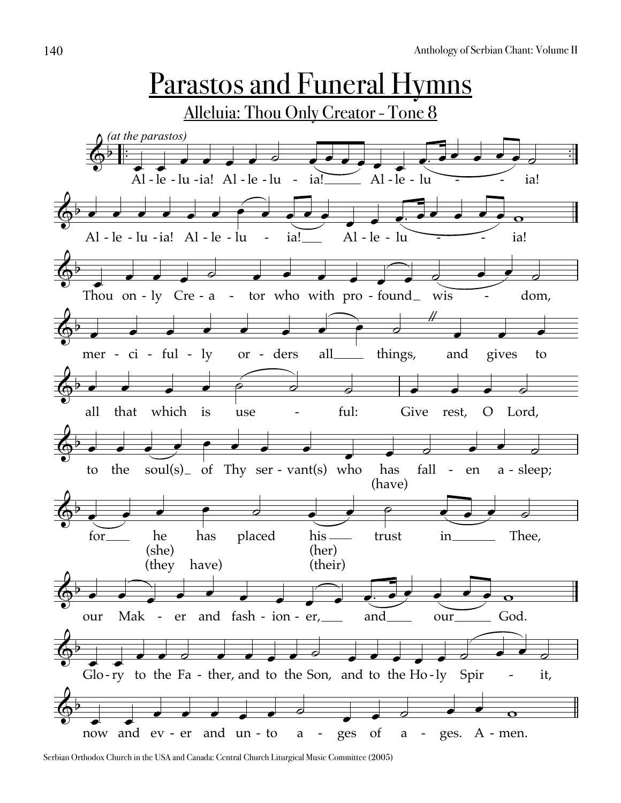

Serbian Orthodox Church in the USA and Canada: Central Church Liturgical Music Committee (2005)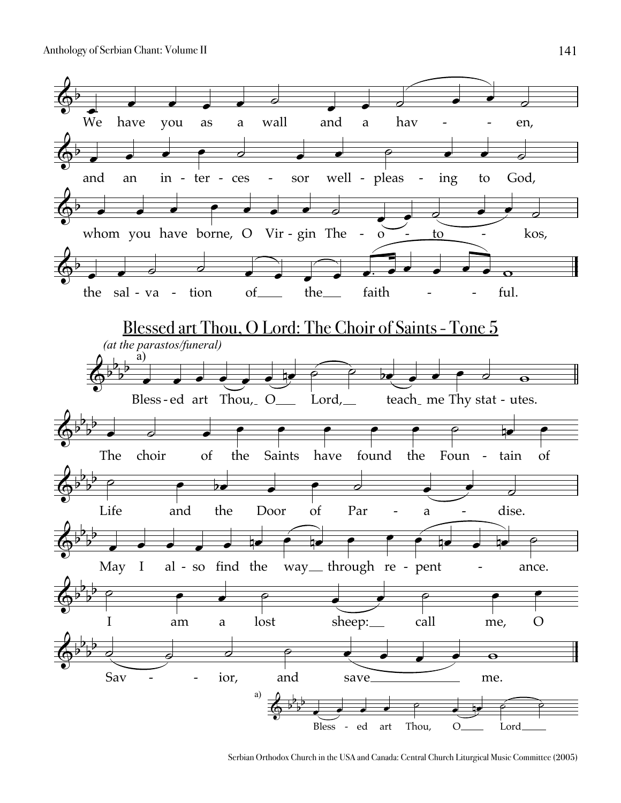

Serbian Orthodox Church in the USA and Canada: Central Church Liturgical Music Committee (2005)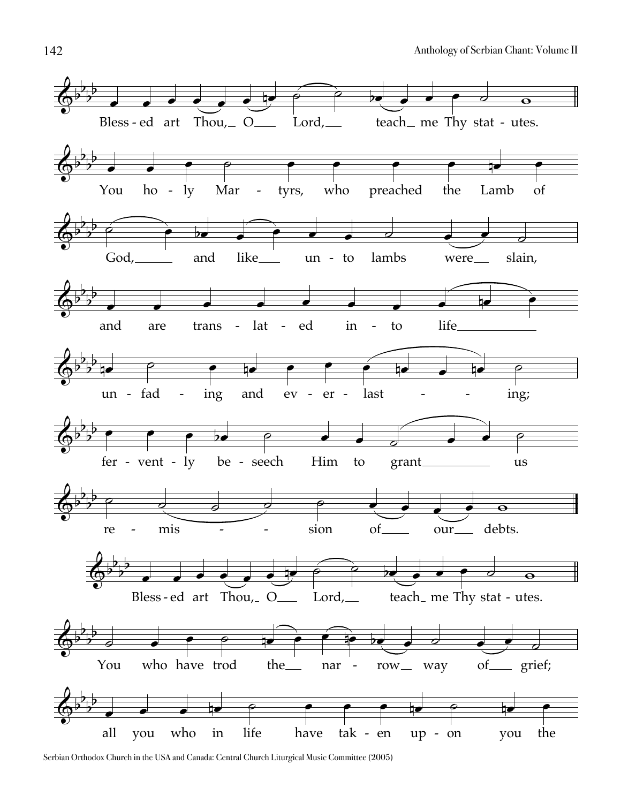

Serbian Orthodox Church in the USA and Canada: Central Church Liturgical Music Committee (2005)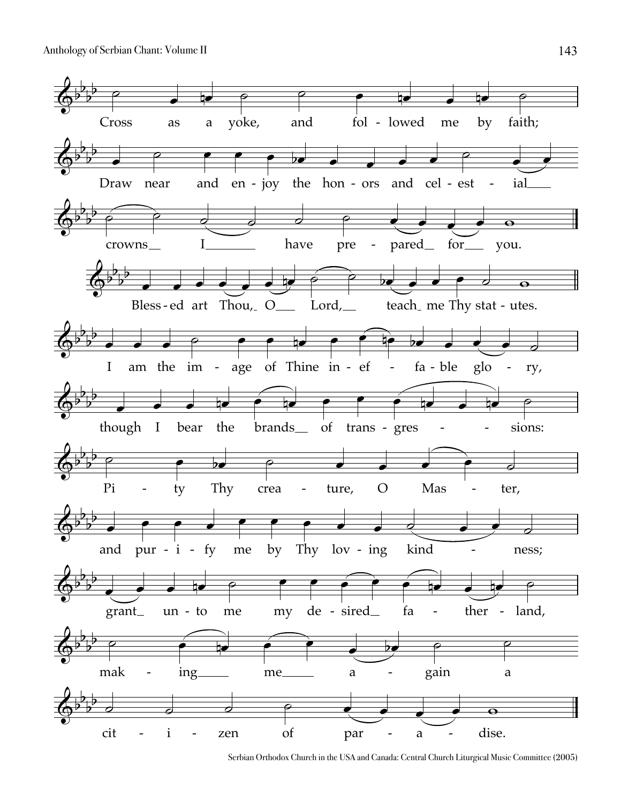

Serbian Orthodox Church in the USA and Canada: Central Church Liturgical Music Committee (2005)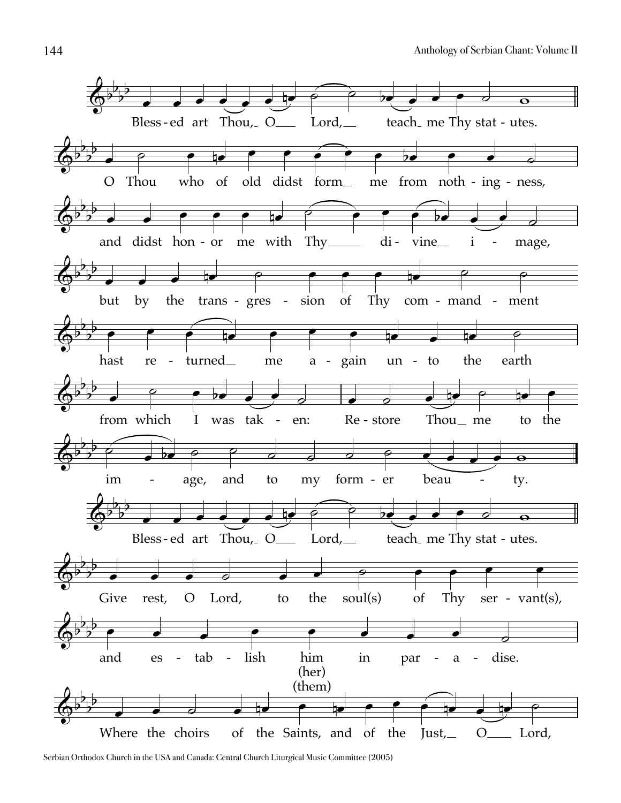

Serbian Orthodox Church in the USA and Canada: Central Church Liturgical Music Committee (2005)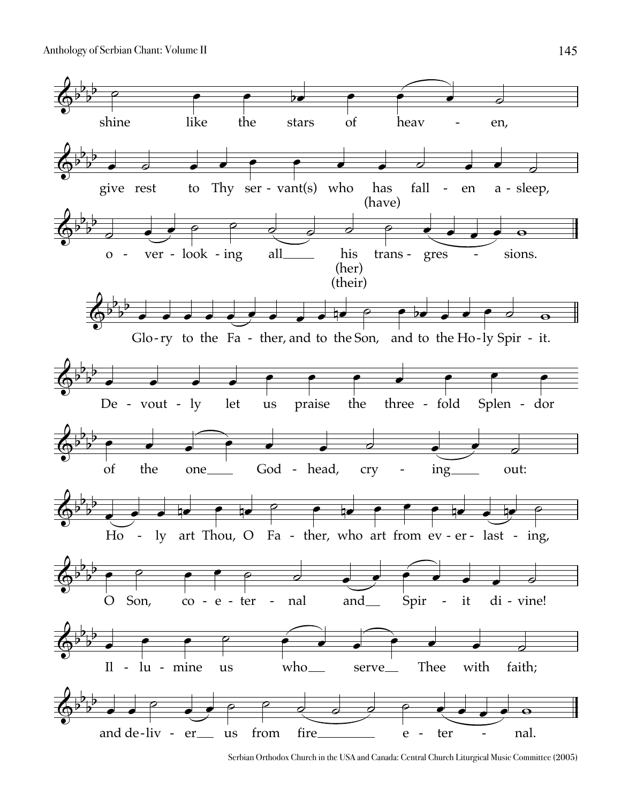

Serbian Orthodox Church in the USA and Canada: Central Church Liturgical Music Committee (2005)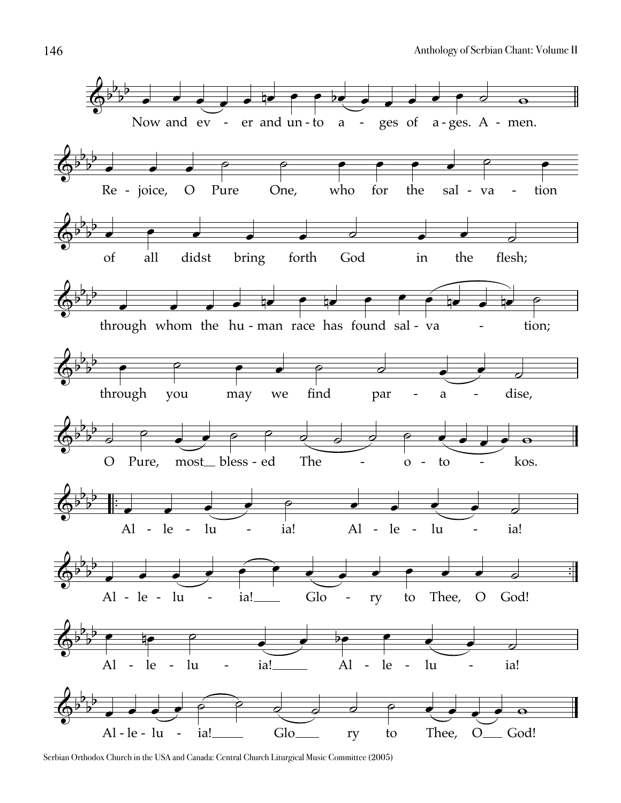

Serbian Orthodox Church in the USA and Canada: Central Church Liturgical Music Committee (2005)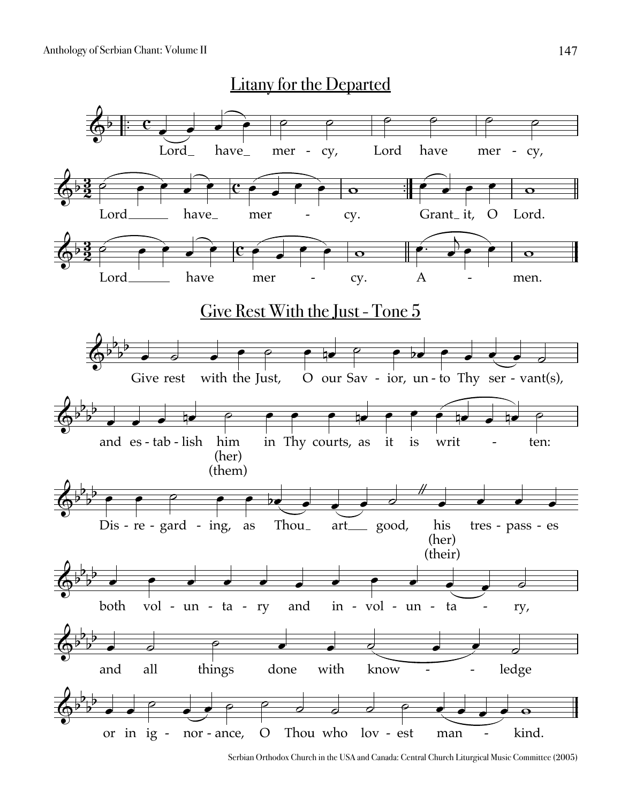

Serbian Orthodox Church in the USA and Canada: Central Church Liturgical Music Committee (2005)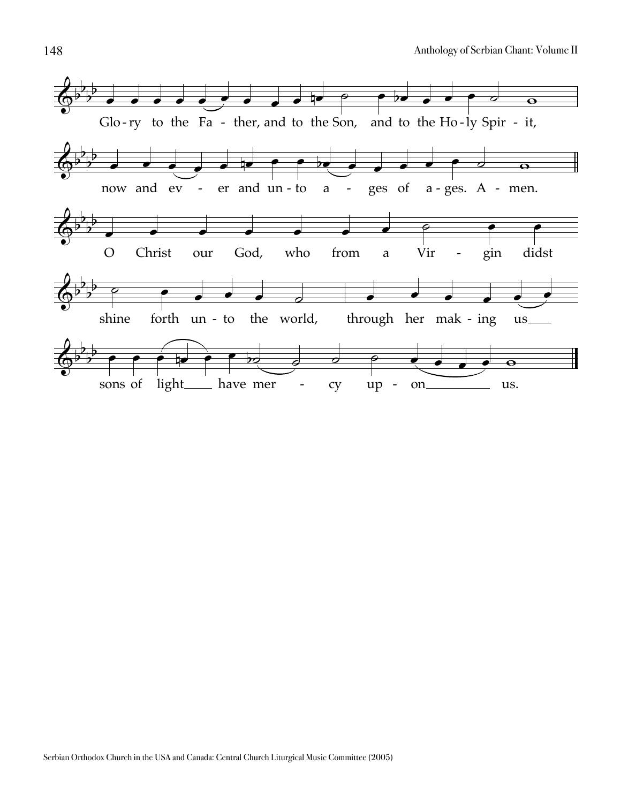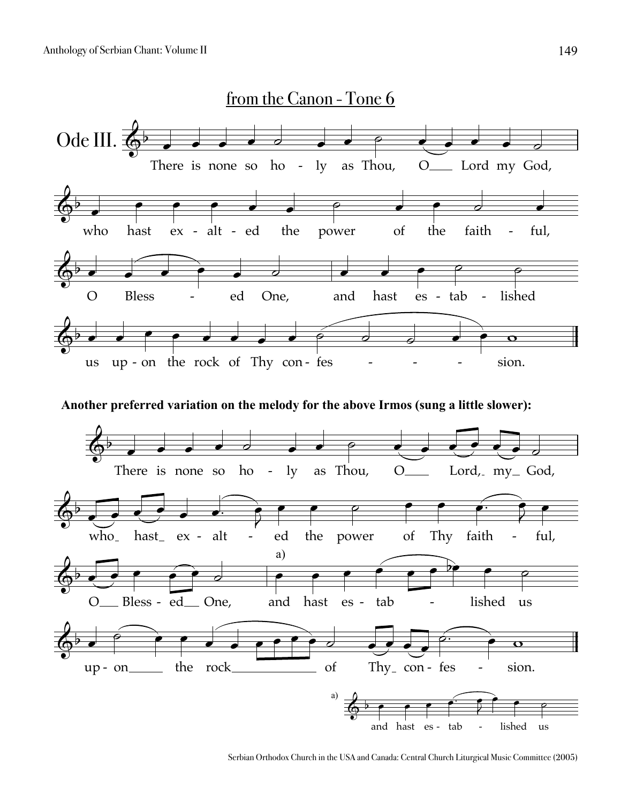

**Another preferred variation on the melody for the above Irmos (sung a little slower):**



Serbian Orthodox Church in the USA and Canada: Central Church Liturgical Music Committee (2005)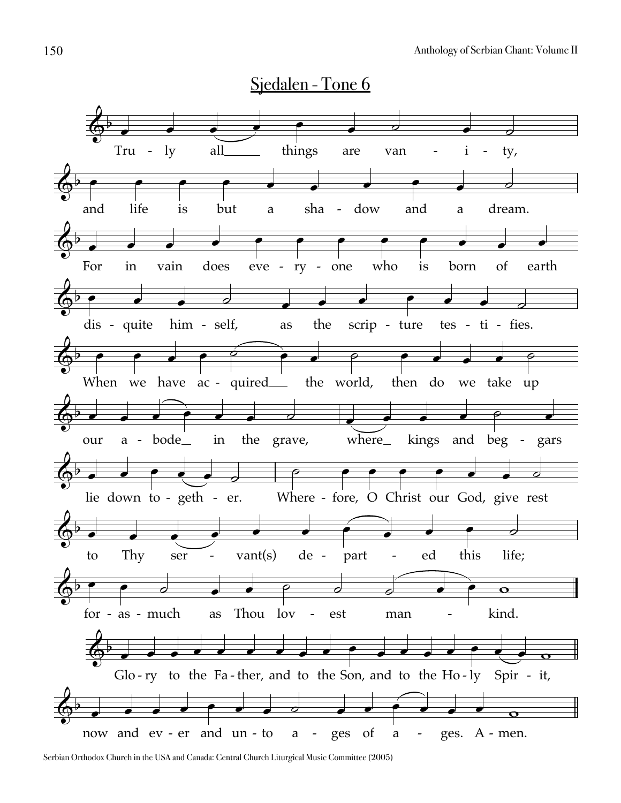

Serbian Orthodox Church in the USA and Canada: Central Church Liturgical Music Committee (2005)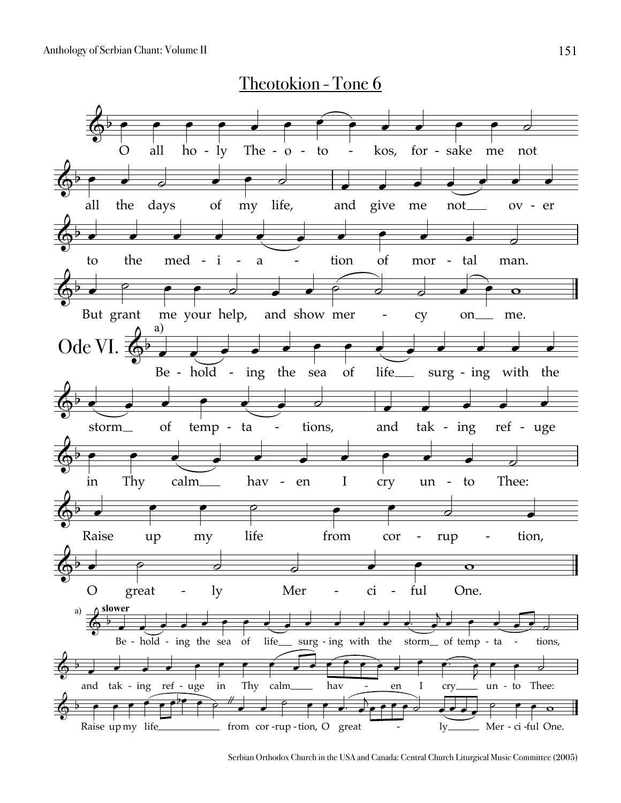

Serbian Orthodox Church in the USA and Canada: Central Church Liturgical Music Committee (2005)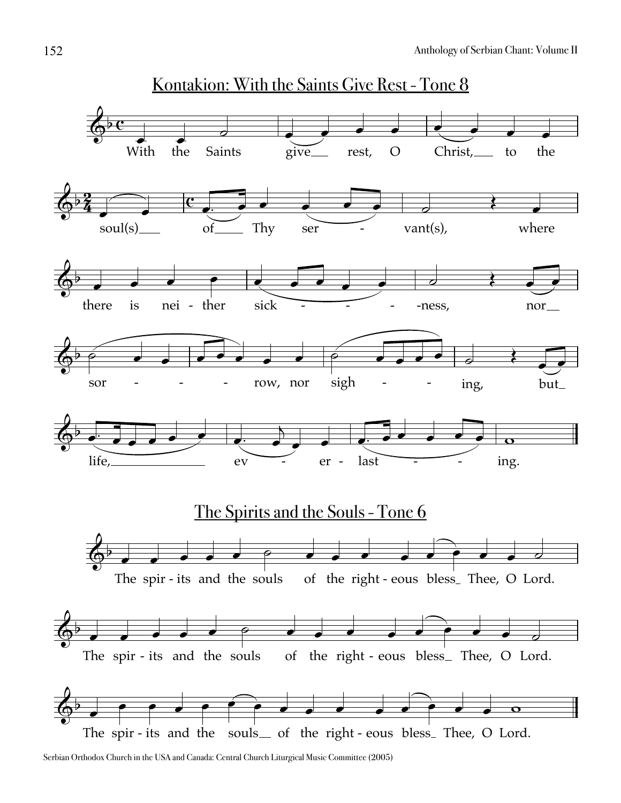

Serbian Orthodox Church in the USA and Canada: Central Church Liturgical Music Committee (2005)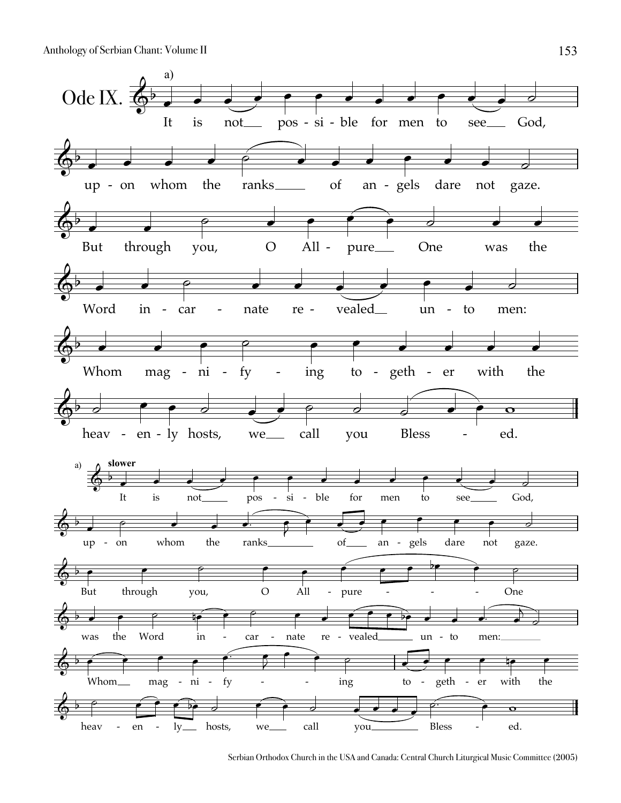

Serbian Orthodox Church in the USA and Canada: Central Church Liturgical Music Committee (2005)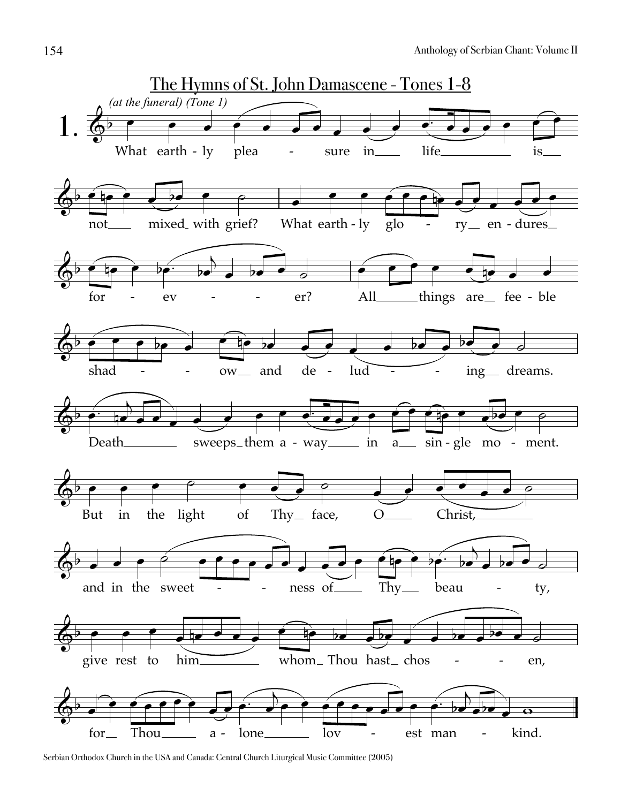

Serbian Orthodox Church in the USA and Canada: Central Church Liturgical Music Committee (2005)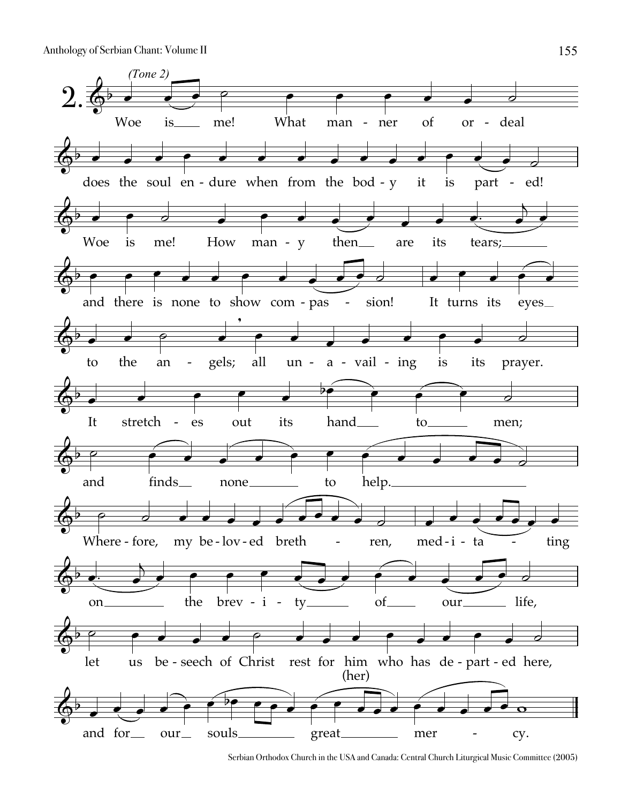

Serbian Orthodox Church in the USA and Canada: Central Church Liturgical Music Committee (2005)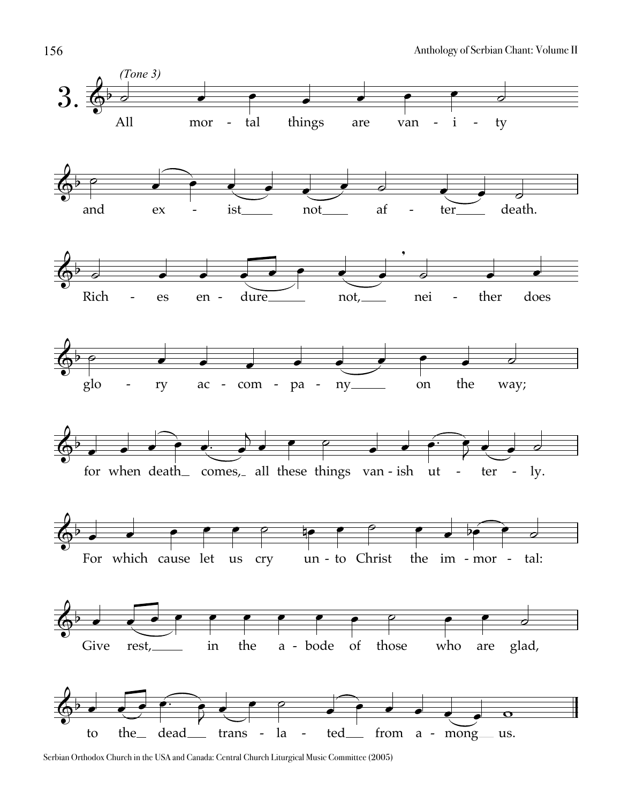

Serbian Orthodox Church in the USA and Canada: Central Church Liturgical Music Committee (2005)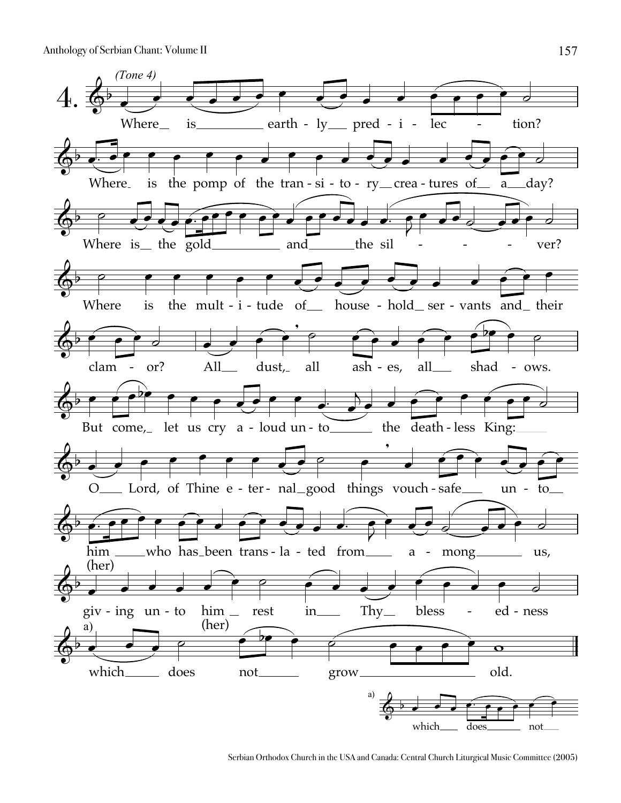

Serbian Orthodox Church in the USA and Canada: Central Church Liturgical Music Committee (2005)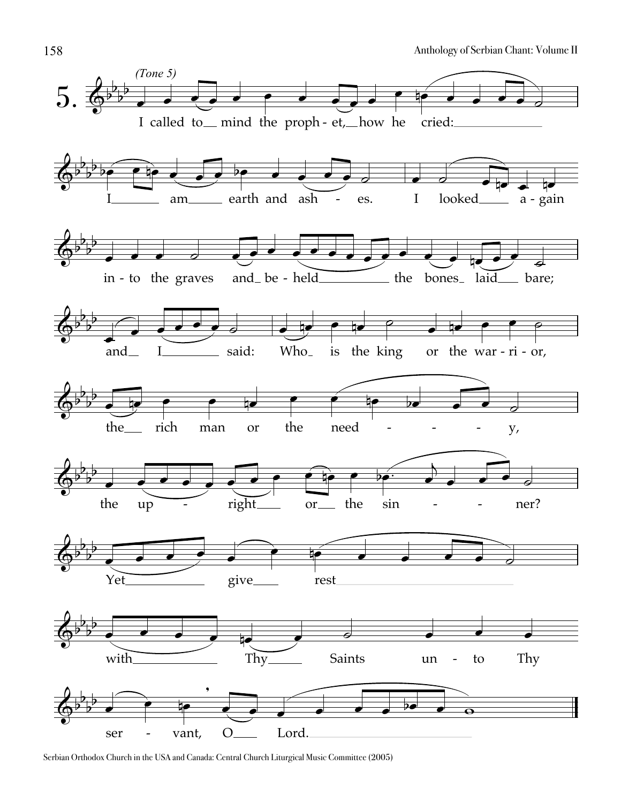

Serbian Orthodox Church in the USA and Canada: Central Church Liturgical Music Committee (2005)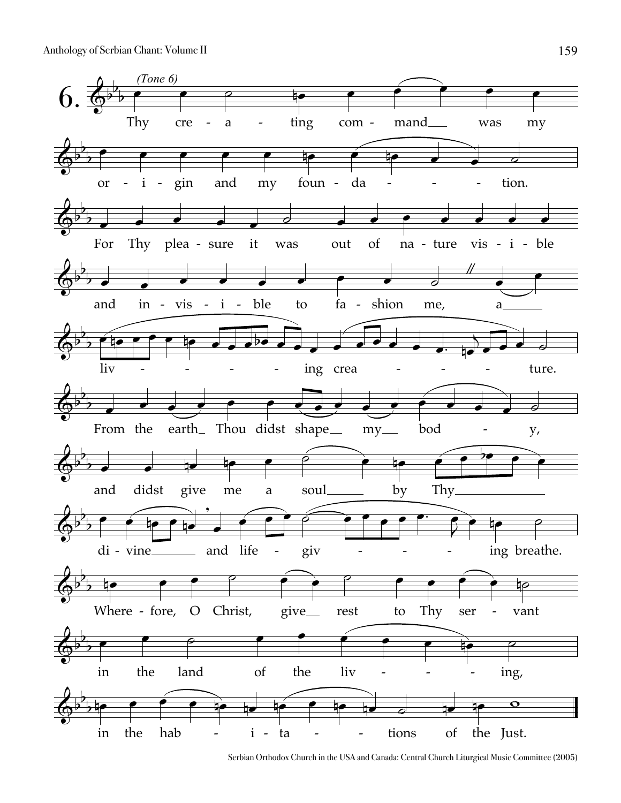

Serbian Orthodox Church in the USA and Canada: Central Church Liturgical Music Committee (2005)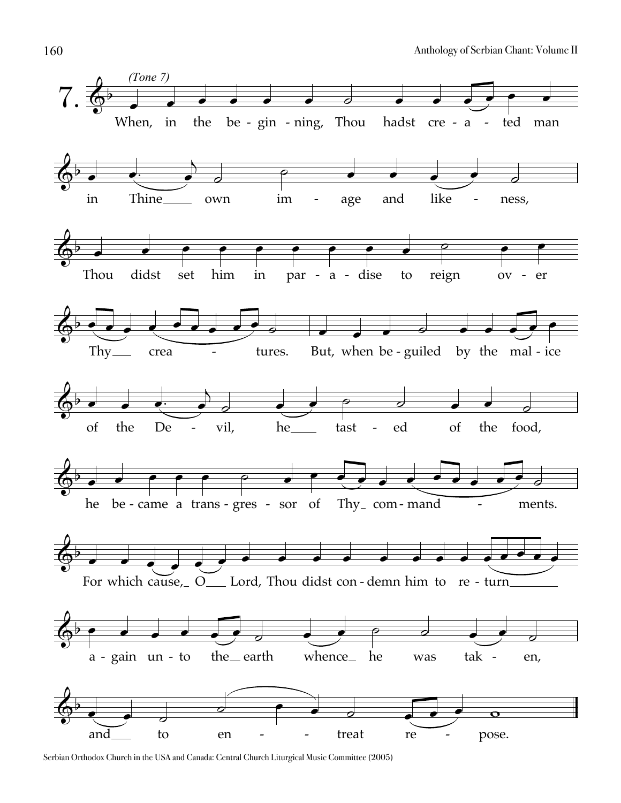

Serbian Orthodox Church in the USA and Canada: Central Church Liturgical Music Committee (2005)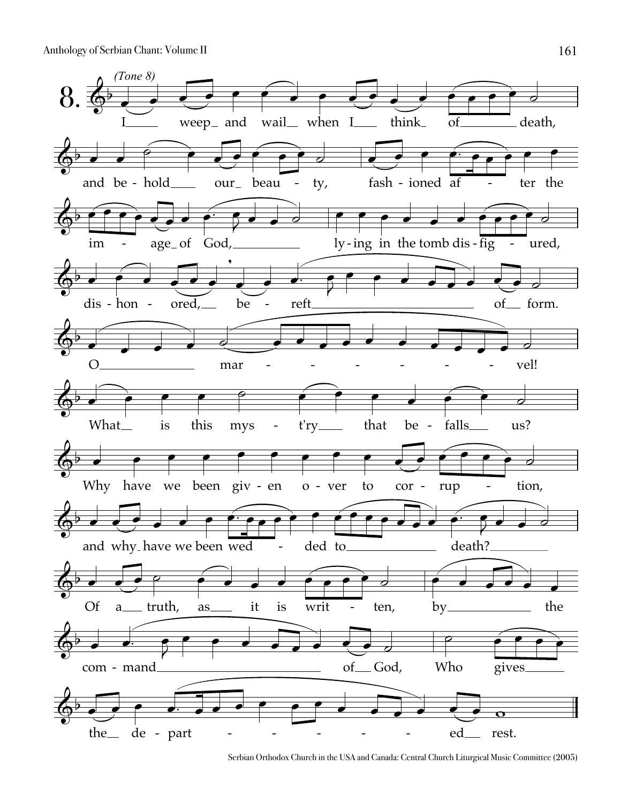

Serbian Orthodox Church in the USA and Canada: Central Church Liturgical Music Committee (2005)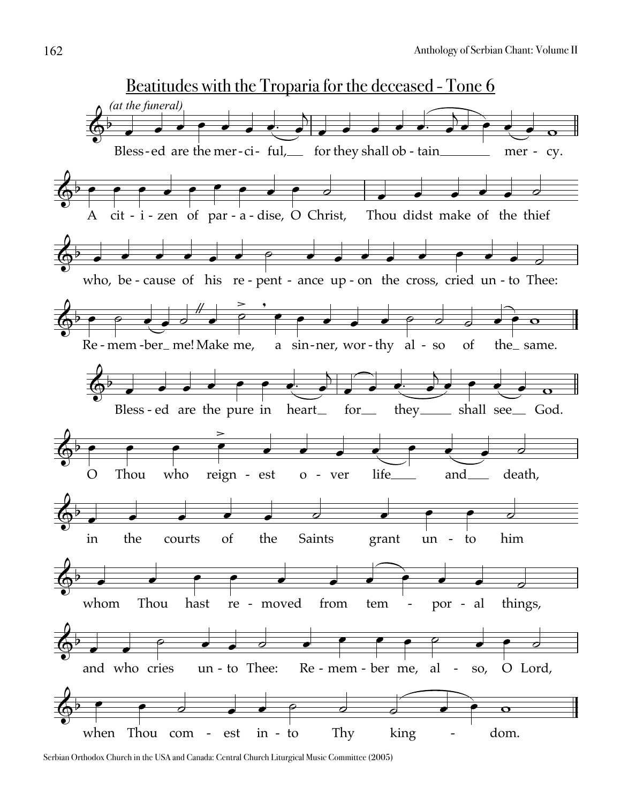

Serbian Orthodox Church in the USA and Canada: Central Church Liturgical Music Committee (2005)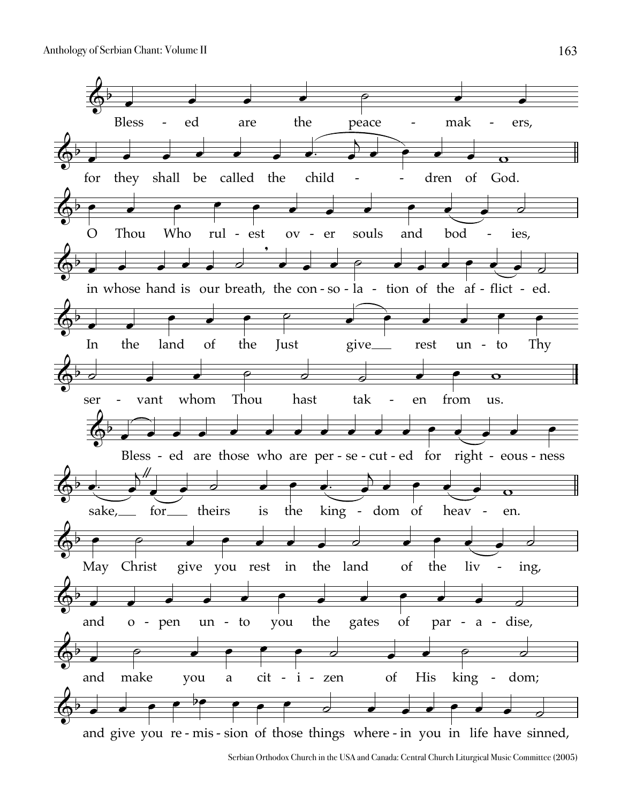

Serbian Orthodox Church in the USA and Canada: Central Church Liturgical Music Committee (2005)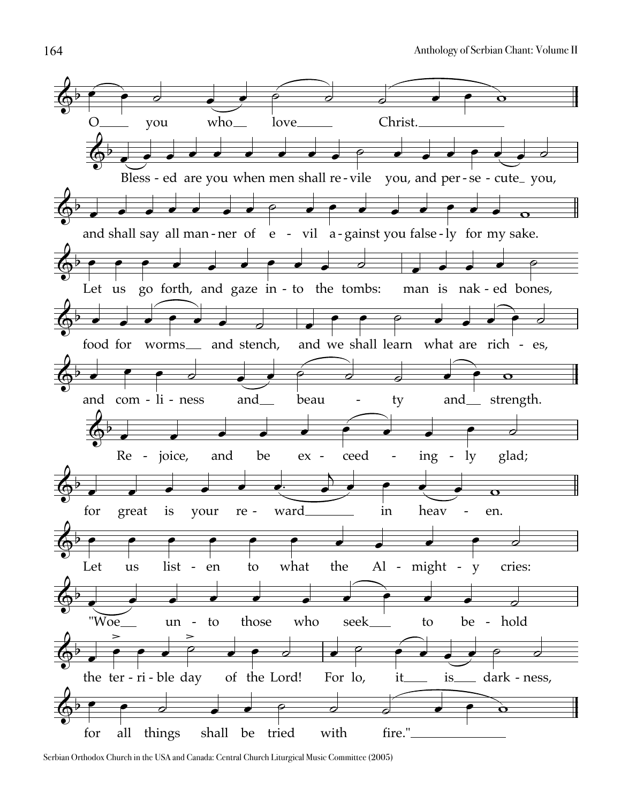

Serbian Orthodox Church in the USA and Canada: Central Church Liturgical Music Committee (2005)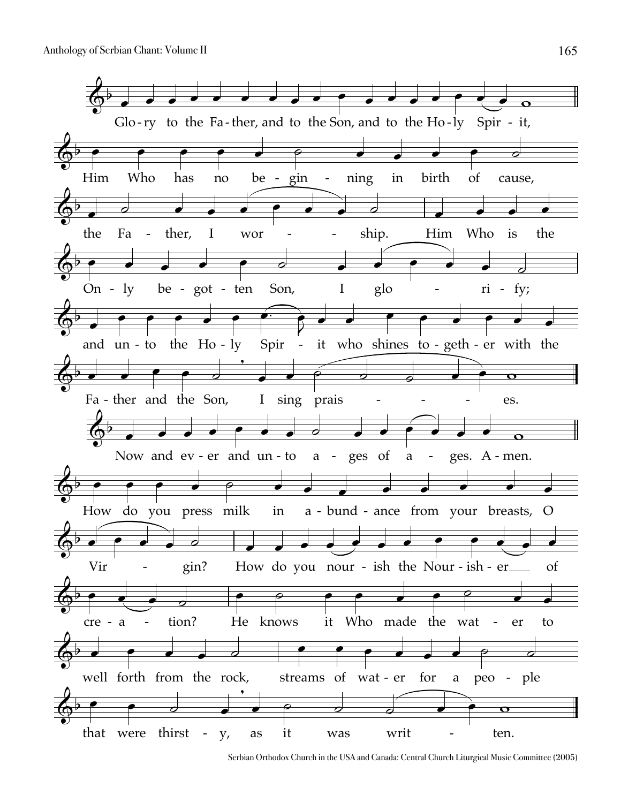

Serbian Orthodox Church in the USA and Canada: Central Church Liturgical Music Committee (2005)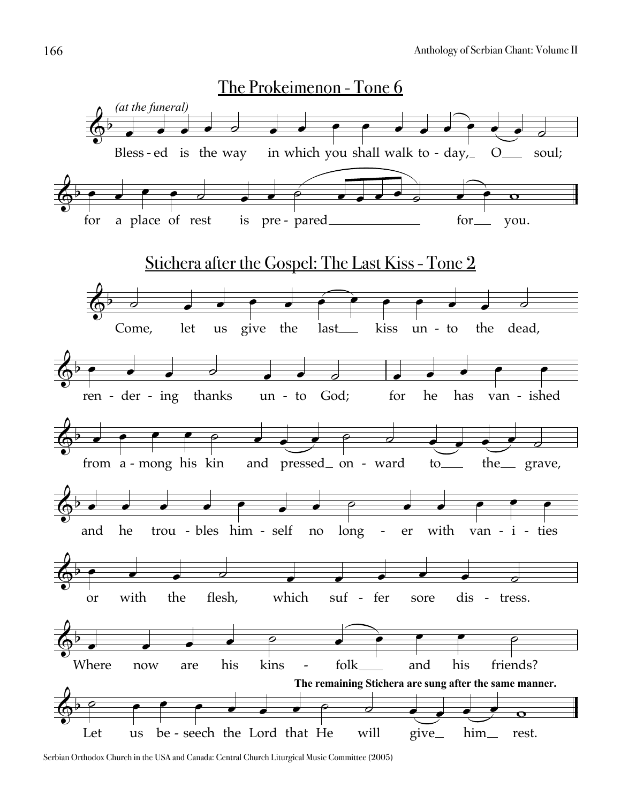

Serbian Orthodox Church in the USA and Canada: Central Church Liturgical Music Committee (2005)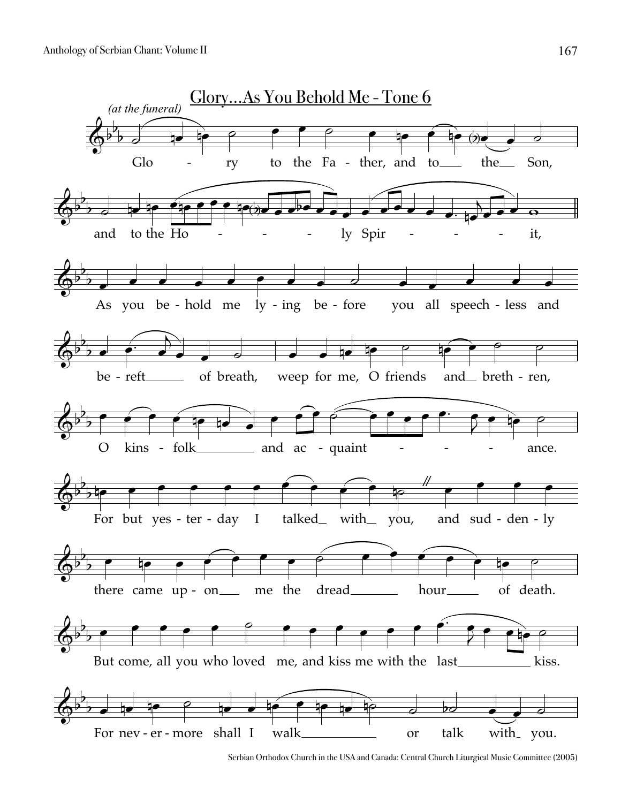

Serbian Orthodox Church in the USA and Canada: Central Church Liturgical Music Committee (2005)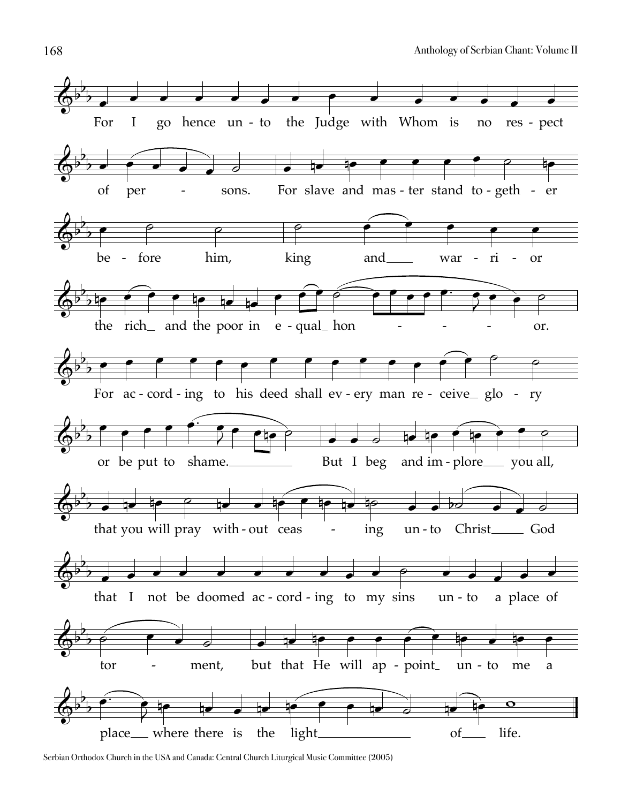

Serbian Orthodox Church in the USA and Canada: Central Church Liturgical Music Committee (2005)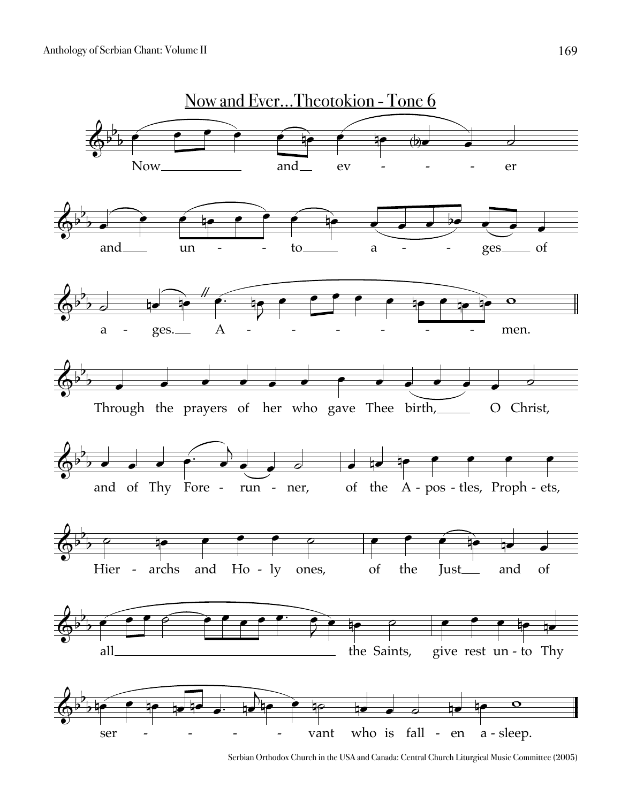

Serbian Orthodox Church in the USA and Canada: Central Church Liturgical Music Committee (2005)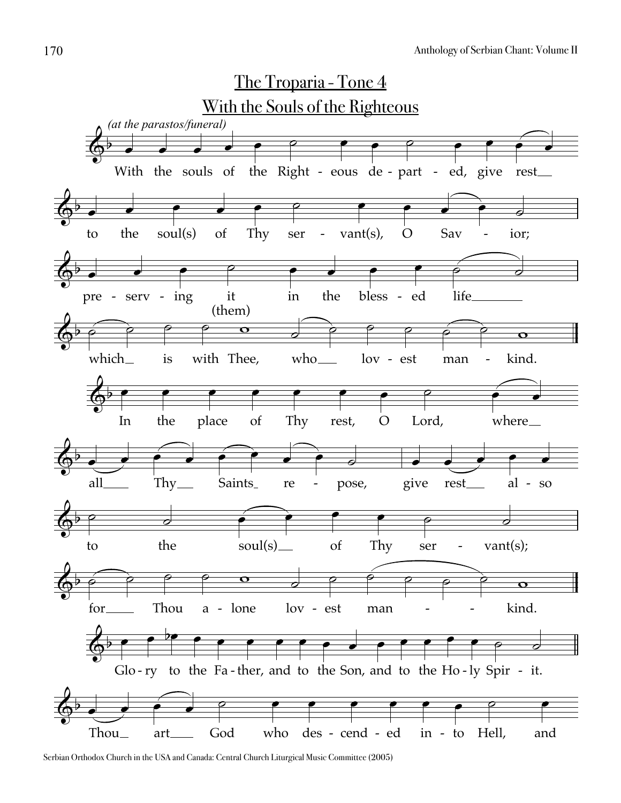

Serbian Orthodox Church in the USA and Canada: Central Church Liturgical Music Committee (2005)